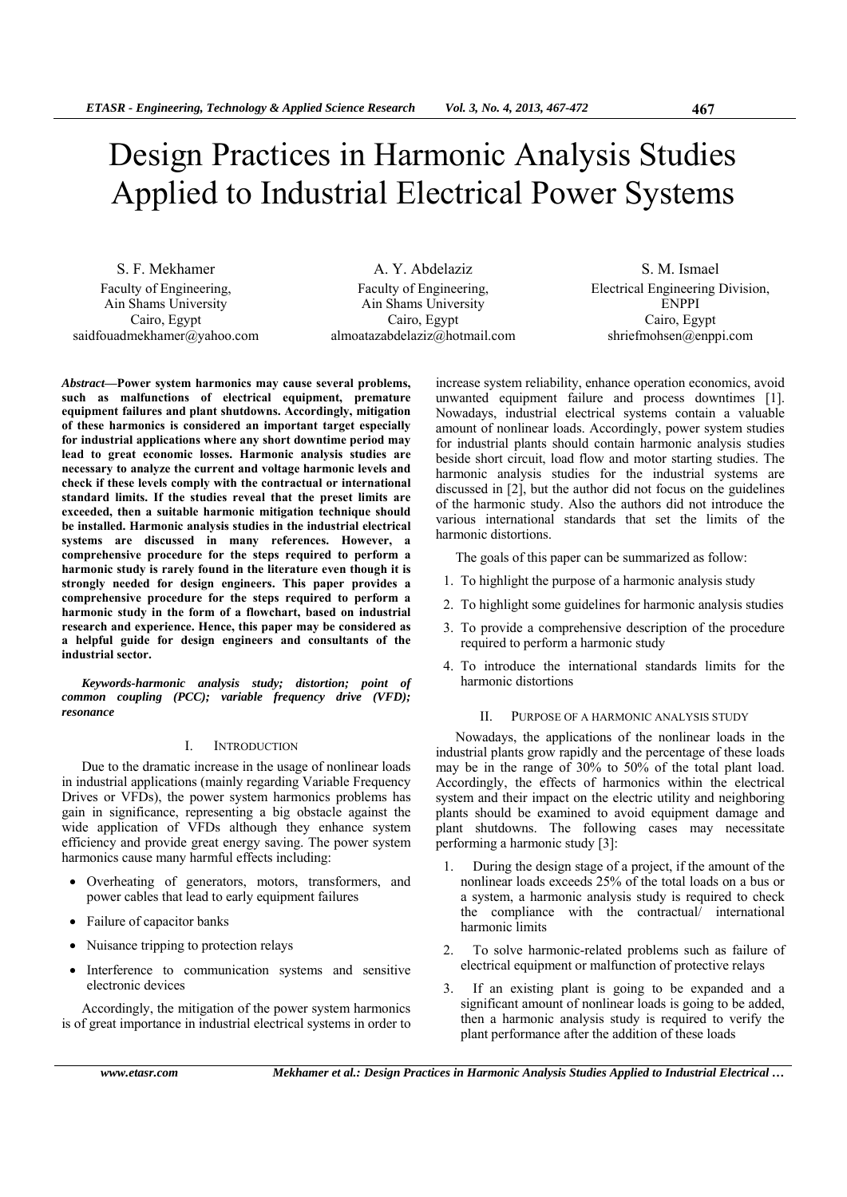# Design Practices in Harmonic Analysis Studies Applied to Industrial Electrical Power Systems

S. F. Mekhamer Faculty of Engineering, Ain Shams University Cairo, Egypt saidfouadmekhamer@yahoo.com

A. Y. Abdelaziz Faculty of Engineering, Ain Shams University Cairo, Egypt almoatazabdelaziz@hotmail.com

S. M. Ismael Electrical Engineering Division, ENPPI Cairo, Egypt shriefmohsen@enppi.com

*Abstract***—Power system harmonics may cause several problems, such as malfunctions of electrical equipment, premature equipment failures and plant shutdowns. Accordingly, mitigation of these harmonics is considered an important target especially for industrial applications where any short downtime period may lead to great economic losses. Harmonic analysis studies are necessary to analyze the current and voltage harmonic levels and check if these levels comply with the contractual or international standard limits. If the studies reveal that the preset limits are exceeded, then a suitable harmonic mitigation technique should be installed. Harmonic analysis studies in the industrial electrical systems are discussed in many references. However, a comprehensive procedure for the steps required to perform a harmonic study is rarely found in the literature even though it is strongly needed for design engineers. This paper provides a comprehensive procedure for the steps required to perform a harmonic study in the form of a flowchart, based on industrial research and experience. Hence, this paper may be considered as a helpful guide for design engineers and consultants of the industrial sector.** 

*Keywords-harmonic analysis study; distortion; point of common coupling (PCC); variable frequency drive (VFD); resonance* 

# I. INTRODUCTION

Due to the dramatic increase in the usage of nonlinear loads in industrial applications (mainly regarding Variable Frequency Drives or VFDs), the power system harmonics problems has gain in significance, representing a big obstacle against the wide application of VFDs although they enhance system efficiency and provide great energy saving. The power system harmonics cause many harmful effects including:

- Overheating of generators, motors, transformers, and power cables that lead to early equipment failures
- Failure of capacitor banks
- Nuisance tripping to protection relays
- Interference to communication systems and sensitive electronic devices

Accordingly, the mitigation of the power system harmonics is of great importance in industrial electrical systems in order to increase system reliability, enhance operation economics, avoid unwanted equipment failure and process downtimes [1]. Nowadays, industrial electrical systems contain a valuable amount of nonlinear loads. Accordingly, power system studies for industrial plants should contain harmonic analysis studies beside short circuit, load flow and motor starting studies. The harmonic analysis studies for the industrial systems are discussed in [2], but the author did not focus on the guidelines of the harmonic study. Also the authors did not introduce the various international standards that set the limits of the harmonic distortions.

The goals of this paper can be summarized as follow:

- 1. To highlight the purpose of a harmonic analysis study
- 2. To highlight some guidelines for harmonic analysis studies
- 3. To provide a comprehensive description of the procedure required to perform a harmonic study
- 4. To introduce the international standards limits for the harmonic distortions

#### II. PURPOSE OF A HARMONIC ANALYSIS STUDY

Nowadays, the applications of the nonlinear loads in the industrial plants grow rapidly and the percentage of these loads may be in the range of 30% to 50% of the total plant load. Accordingly, the effects of harmonics within the electrical system and their impact on the electric utility and neighboring plants should be examined to avoid equipment damage and plant shutdowns. The following cases may necessitate performing a harmonic study [3]:

- 1. During the design stage of a project, if the amount of the nonlinear loads exceeds 25% of the total loads on a bus or a system, a harmonic analysis study is required to check the compliance with the contractual/ international harmonic limits
- 2. To solve harmonic-related problems such as failure of electrical equipment or malfunction of protective relays
- 3. If an existing plant is going to be expanded and a significant amount of nonlinear loads is going to be added, then a harmonic analysis study is required to verify the plant performance after the addition of these loads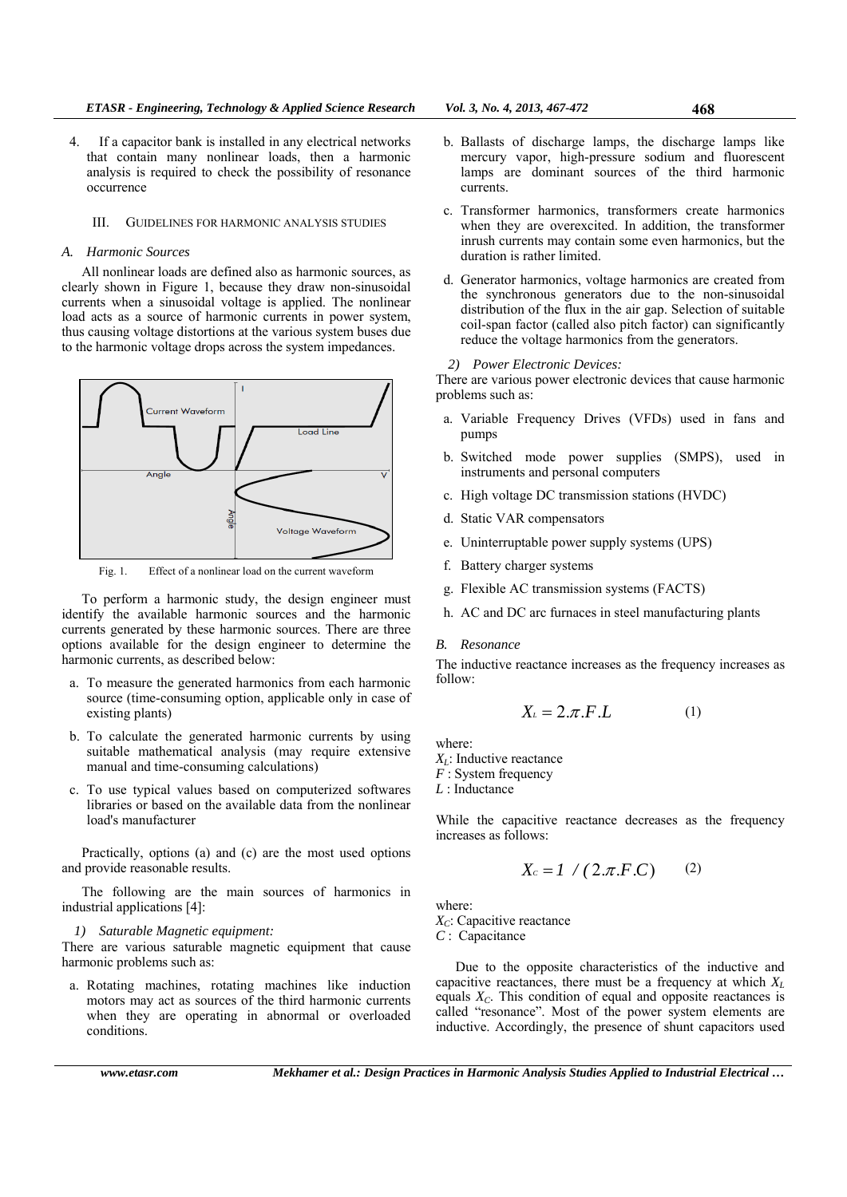- 4. If a capacitor bank is installed in any electrical networks that contain many nonlinear loads, then a harmonic analysis is required to check the possibility of resonance occurrence
	- III. GUIDELINES FOR HARMONIC ANALYSIS STUDIES

## *A. Harmonic Sources*

All nonlinear loads are defined also as harmonic sources, as clearly shown in Figure 1, because they draw non-sinusoidal currents when a sinusoidal voltage is applied. The nonlinear load acts as a source of harmonic currents in power system, thus causing voltage distortions at the various system buses due to the harmonic voltage drops across the system impedances.



Fig. 1. Effect of a nonlinear load on the current waveform

To perform a harmonic study, the design engineer must identify the available harmonic sources and the harmonic currents generated by these harmonic sources. There are three options available for the design engineer to determine the harmonic currents, as described below:

- a. To measure the generated harmonics from each harmonic source (time-consuming option, applicable only in case of existing plants)
- b. To calculate the generated harmonic currents by using suitable mathematical analysis (may require extensive manual and time-consuming calculations)
- c. To use typical values based on computerized softwares libraries or based on the available data from the nonlinear load's manufacturer

Practically, options (a) and (c) are the most used options and provide reasonable results.

The following are the main sources of harmonics in industrial applications [4]:

### *1) Saturable Magnetic equipment:*

There are various saturable magnetic equipment that cause harmonic problems such as:

a. Rotating machines, rotating machines like induction motors may act as sources of the third harmonic currents when they are operating in abnormal or overloaded conditions.

- c. Transformer harmonics, transformers create harmonics when they are overexcited. In addition, the transformer inrush currents may contain some even harmonics, but the duration is rather limited.
- d. Generator harmonics, voltage harmonics are created from the synchronous generators due to the non-sinusoidal distribution of the flux in the air gap. Selection of suitable coil-span factor (called also pitch factor) can significantly reduce the voltage harmonics from the generators.
- *2) Power Electronic Devices:*

There are various power electronic devices that cause harmonic problems such as:

- a. Variable Frequency Drives (VFDs) used in fans and pumps
- b. Switched mode power supplies (SMPS), used in instruments and personal computers
- c. High voltage DC transmission stations (HVDC)
- d. Static VAR compensators
- e. Uninterruptable power supply systems (UPS)
- f. Battery charger systems
- g. Flexible AC transmission systems (FACTS)
- h. AC and DC arc furnaces in steel manufacturing plants

#### *B. Resonance*

The inductive reactance increases as the frequency increases as follow:

$$
X_{\iota} = 2.\pi.F.L \tag{1}
$$

where:

*X<sub>L</sub>*: Inductive reactance

*F* : System frequency

*L* : Inductance

While the capacitive reactance decreases as the frequency increases as follows:

$$
X_c = I \quad / \quad (2.\pi.F.C) \qquad (2)
$$

where: *X<sub>C</sub>*: Capacitive reactance

*C* : Capacitance

Due to the opposite characteristics of the inductive and capacitive reactances, there must be a frequency at which  $X_L$ equals  $X_C$ . This condition of equal and opposite reactances is called "resonance". Most of the power system elements are inductive. Accordingly, the presence of shunt capacitors used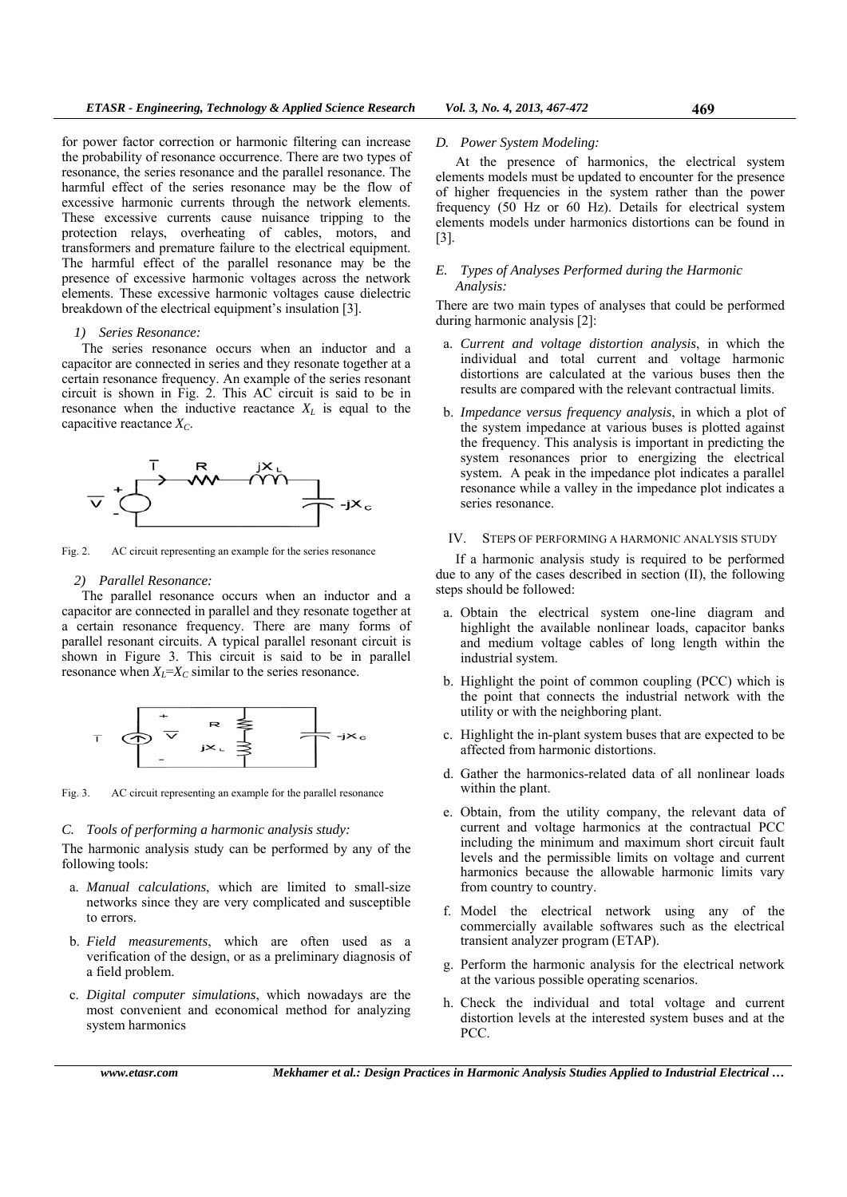for power factor correction or harmonic filtering can increase the probability of resonance occurrence. There are two types of resonance, the series resonance and the parallel resonance. The harmful effect of the series resonance may be the flow of excessive harmonic currents through the network elements. These excessive currents cause nuisance tripping to the protection relays, overheating of cables, motors, and transformers and premature failure to the electrical equipment. The harmful effect of the parallel resonance may be the presence of excessive harmonic voltages across the network elements. These excessive harmonic voltages cause dielectric breakdown of the electrical equipment's insulation [3].

### *1) Series Resonance:*

The series resonance occurs when an inductor and a capacitor are connected in series and they resonate together at a certain resonance frequency. An example of the series resonant circuit is shown in Fig. 2. This AC circuit is said to be in resonance when the inductive reactance  $X_L$  is equal to the capacitive reactance  $X_C$ .



Fig. 2. AC circuit representing an example for the series resonance

#### *2) Parallel Resonance:*

The parallel resonance occurs when an inductor and a capacitor are connected in parallel and they resonate together at a certain resonance frequency. There are many forms of parallel resonant circuits. A typical parallel resonant circuit is shown in Figure 3. This circuit is said to be in parallel resonance when  $X_L = X_C$  similar to the series resonance.



Fig. 3. AC circuit representing an example for the parallel resonance

#### *C. Tools of performing a harmonic analysis study:*

The harmonic analysis study can be performed by any of the following tools:

- a. *Manual calculations*, which are limited to small-size networks since they are very complicated and susceptible to errors.
- b. *Field measurements*, which are often used as a verification of the design, or as a preliminary diagnosis of a field problem.
- c. *Digital computer simulations*, which nowadays are the most convenient and economical method for analyzing system harmonics

#### *D. Power System Modeling:*

At the presence of harmonics, the electrical system elements models must be updated to encounter for the presence of higher frequencies in the system rather than the power frequency (50 Hz or 60 Hz). Details for electrical system elements models under harmonics distortions can be found in [3].

## *E. Types of Analyses Performed during the Harmonic Analysis:*

There are two main types of analyses that could be performed during harmonic analysis [2]:

- a. *Current and voltage distortion analysis*, in which the individual and total current and voltage harmonic distortions are calculated at the various buses then the results are compared with the relevant contractual limits.
- b. *Impedance versus frequency analysis*, in which a plot of the system impedance at various buses is plotted against the frequency. This analysis is important in predicting the system resonances prior to energizing the electrical system. A peak in the impedance plot indicates a parallel resonance while a valley in the impedance plot indicates a series resonance.

#### IV. STEPS OF PERFORMING A HARMONIC ANALYSIS STUDY

If a harmonic analysis study is required to be performed due to any of the cases described in section (II), the following steps should be followed:

- a. Obtain the electrical system one-line diagram and highlight the available nonlinear loads, capacitor banks and medium voltage cables of long length within the industrial system.
- b. Highlight the point of common coupling (PCC) which is the point that connects the industrial network with the utility or with the neighboring plant.
- c. Highlight the in-plant system buses that are expected to be affected from harmonic distortions.
- d. Gather the harmonics-related data of all nonlinear loads within the plant.
- e. Obtain, from the utility company, the relevant data of current and voltage harmonics at the contractual PCC including the minimum and maximum short circuit fault levels and the permissible limits on voltage and current harmonics because the allowable harmonic limits vary from country to country.
- f. Model the electrical network using any of the commercially available softwares such as the electrical transient analyzer program (ETAP).
- g. Perform the harmonic analysis for the electrical network at the various possible operating scenarios.
- h. Check the individual and total voltage and current distortion levels at the interested system buses and at the PCC.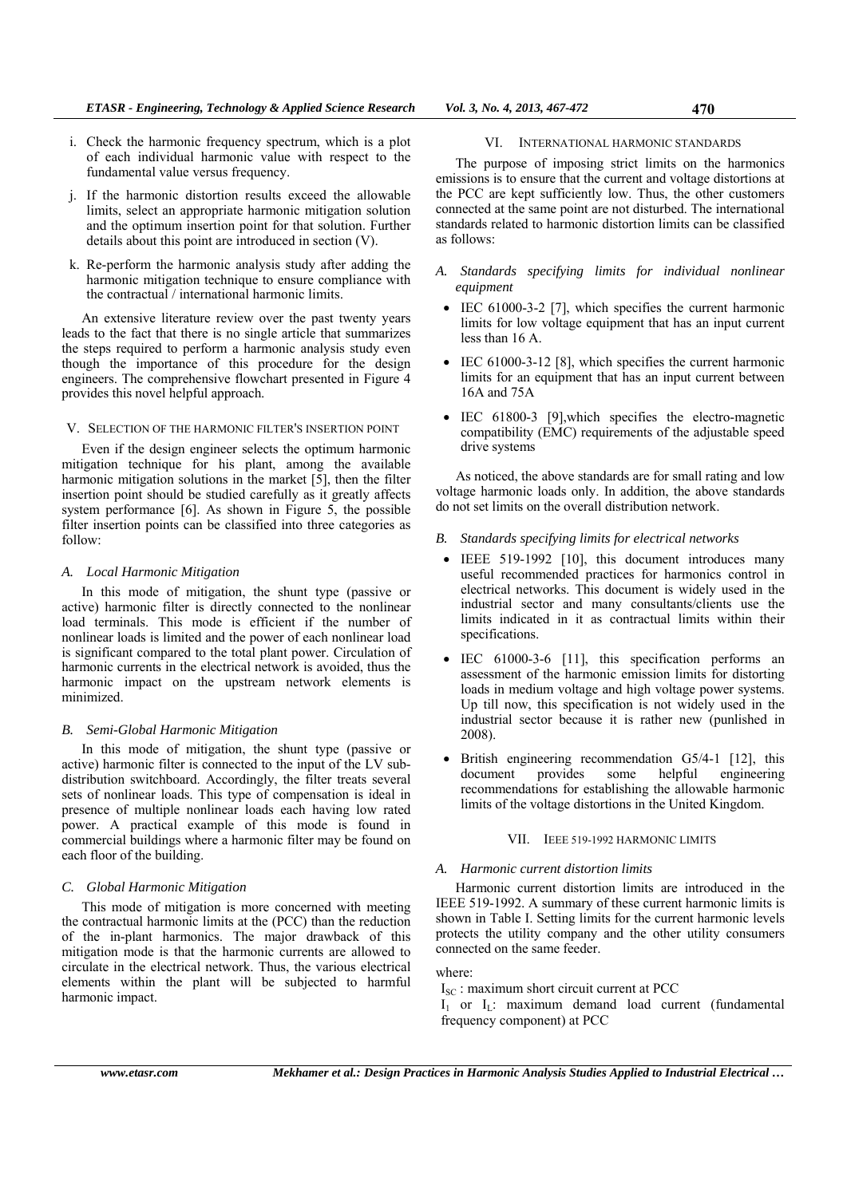- j. If the harmonic distortion results exceed the allowable limits, select an appropriate harmonic mitigation solution and the optimum insertion point for that solution. Further details about this point are introduced in section (V).
- k. Re-perform the harmonic analysis study after adding the harmonic mitigation technique to ensure compliance with the contractual / international harmonic limits.

An extensive literature review over the past twenty years leads to the fact that there is no single article that summarizes the steps required to perform a harmonic analysis study even though the importance of this procedure for the design engineers. The comprehensive flowchart presented in Figure 4 provides this novel helpful approach.

V. SELECTION OF THE HARMONIC FILTER'S INSERTION POINT

Even if the design engineer selects the optimum harmonic mitigation technique for his plant, among the available harmonic mitigation solutions in the market [5], then the filter insertion point should be studied carefully as it greatly affects system performance [6]. As shown in Figure 5, the possible filter insertion points can be classified into three categories as follow:

# *A. Local Harmonic Mitigation*

In this mode of mitigation, the shunt type (passive or active) harmonic filter is directly connected to the nonlinear load terminals. This mode is efficient if the number of nonlinear loads is limited and the power of each nonlinear load is significant compared to the total plant power. Circulation of harmonic currents in the electrical network is avoided, thus the harmonic impact on the upstream network elements is minimized.

# *B. Semi-Global Harmonic Mitigation*

In this mode of mitigation, the shunt type (passive or active) harmonic filter is connected to the input of the LV subdistribution switchboard. Accordingly, the filter treats several sets of nonlinear loads. This type of compensation is ideal in presence of multiple nonlinear loads each having low rated power. A practical example of this mode is found in commercial buildings where a harmonic filter may be found on each floor of the building.

# *C. Global Harmonic Mitigation*

This mode of mitigation is more concerned with meeting the contractual harmonic limits at the (PCC) than the reduction of the in-plant harmonics. The major drawback of this mitigation mode is that the harmonic currents are allowed to circulate in the electrical network. Thus, the various electrical elements within the plant will be subjected to harmful harmonic impact.

# VI. INTERNATIONAL HARMONIC STANDARDS

The purpose of imposing strict limits on the harmonics emissions is to ensure that the current and voltage distortions at the PCC are kept sufficiently low. Thus, the other customers connected at the same point are not disturbed. The international standards related to harmonic distortion limits can be classified as follows:

- *A. Standards specifying limits for individual nonlinear equipment*
- $\bullet$  IEC 61000-3-2 [7], which specifies the current harmonic limits for low voltage equipment that has an input current less than 16 A.
- IEC 61000-3-12 [8], which specifies the current harmonic limits for an equipment that has an input current between 16A and 75A
- IEC 61800-3 [9], which specifies the electro-magnetic compatibility (EMC) requirements of the adjustable speed drive systems

As noticed, the above standards are for small rating and low voltage harmonic loads only. In addition, the above standards do not set limits on the overall distribution network.

- *B. Standards specifying limits for electrical networks*
- IEEE 519-1992 [10], this document introduces many useful recommended practices for harmonics control in electrical networks. This document is widely used in the industrial sector and many consultants/clients use the limits indicated in it as contractual limits within their specifications.
- IEC 61000-3-6 [11], this specification performs an assessment of the harmonic emission limits for distorting loads in medium voltage and high voltage power systems. Up till now, this specification is not widely used in the industrial sector because it is rather new (punlished in 2008).
- British engineering recommendation G5/4-1 [12], this document provides some helpful engineering recommendations for establishing the allowable harmonic limits of the voltage distortions in the United Kingdom.

# VII. IEEE 519-1992 HARMONIC LIMITS

# *A. Harmonic current distortion limits*

Harmonic current distortion limits are introduced in the IEEE 519-1992. A summary of these current harmonic limits is shown in Table I. Setting limits for the current harmonic levels protects the utility company and the other utility consumers connected on the same feeder.

### where:

 $I_{SC}$ : maximum short circuit current at PCC

 $I_1$  or  $I_L$ : maximum demand load current (fundamental frequency component) at PCC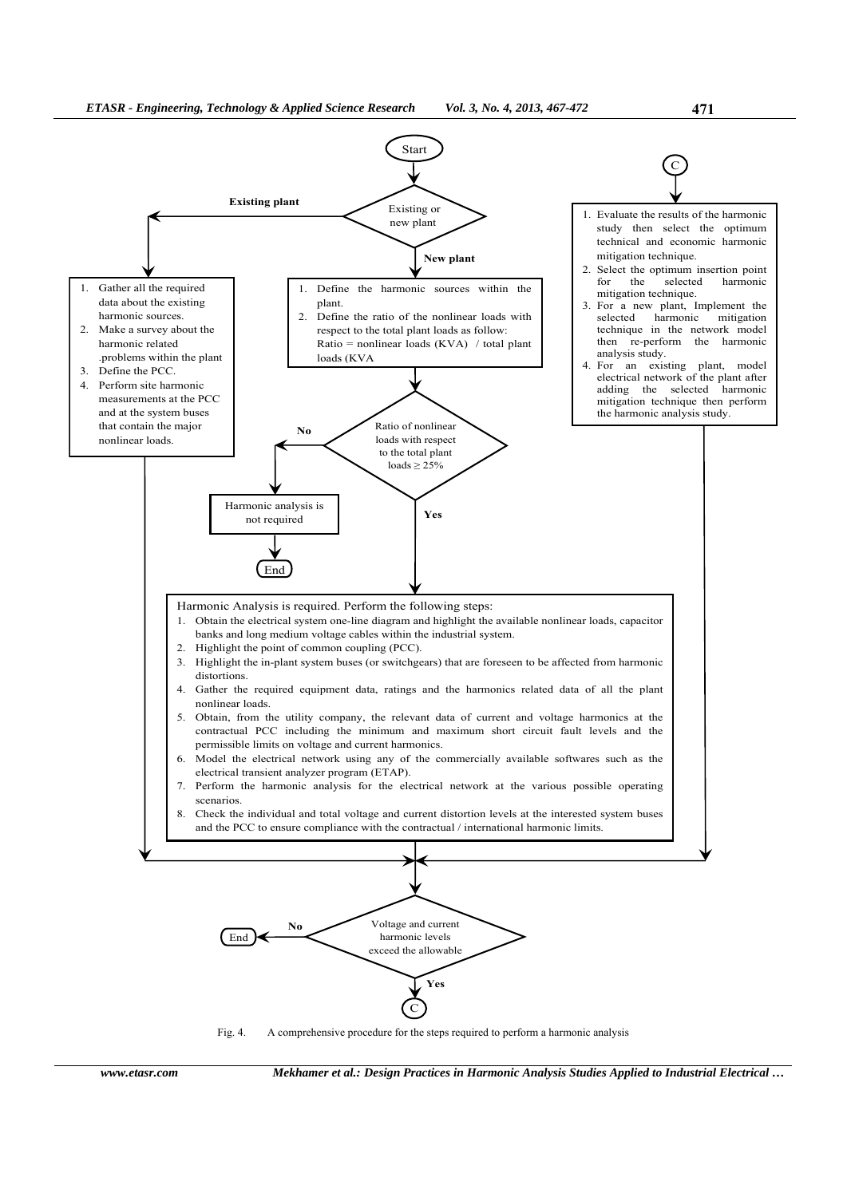



*www.etasr.com Mekhamer et al.: Design Practices in Harmonic Analysis Studies Applied to Industrial Electrical …*